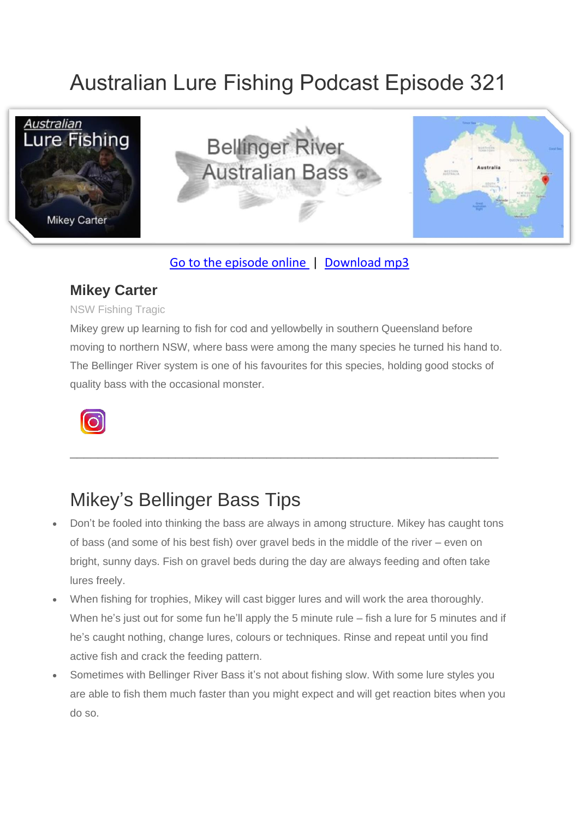# Australian Lure Fishing Podcast Episode 321



### [Go to the episode online](https://doclures.com/bellinger-bass-mikey-carter/) | [Download mp3](https://traffic.libsyn.com/secure/doclures/bellinger-bass-mikey-carter.mp3)

### **Mikey Carter**

#### NSW Fishing Tragic

Mikey grew up learning to fish for cod and yellowbelly in southern Queensland before moving to northern NSW, where bass were among the many species he turned his hand to. The Bellinger River system is one of his favourites for this species, holding good stocks of quality bass with the occasional monster.

\_\_\_\_\_\_\_\_\_\_\_\_\_\_\_\_\_\_\_\_\_\_\_\_\_\_\_\_\_\_\_\_\_\_\_\_\_\_\_\_\_\_\_\_\_\_\_\_\_\_\_\_\_\_\_\_\_\_\_\_\_



### Mikey's Bellinger Bass Tips

- Don't be fooled into thinking the bass are always in among structure. Mikey has caught tons of bass (and some of his best fish) over gravel beds in the middle of the river – even on bright, sunny days. Fish on gravel beds during the day are always feeding and often take lures freely.
- When fishing for trophies, Mikey will cast bigger lures and will work the area thoroughly. When he's just out for some fun he'll apply the 5 minute rule – fish a lure for 5 minutes and if he's caught nothing, change lures, colours or techniques. Rinse and repeat until you find active fish and crack the feeding pattern.
- Sometimes with Bellinger River Bass it's not about fishing slow. With some lure styles you are able to fish them much faster than you might expect and will get reaction bites when you do so.